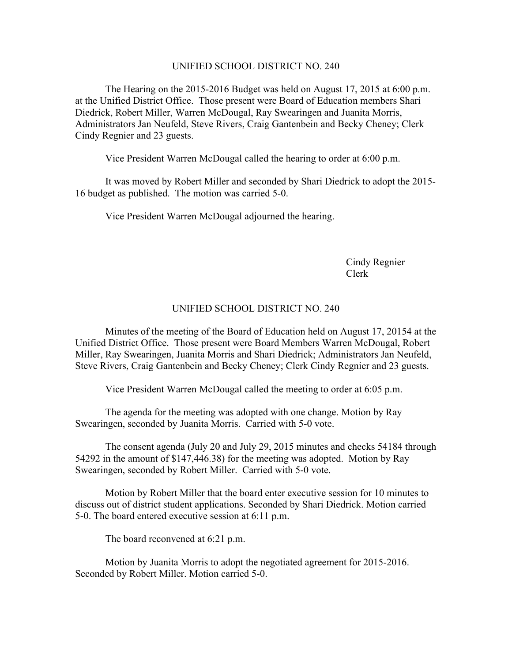## UNIFIED SCHOOL DISTRICT NO. 240

The Hearing on the 2015-2016 Budget was held on August 17, 2015 at 6:00 p.m. at the Unified District Office. Those present were Board of Education members Shari Diedrick, Robert Miller, Warren McDougal, Ray Swearingen and Juanita Morris, Administrators Jan Neufeld, Steve Rivers, Craig Gantenbein and Becky Cheney; Clerk Cindy Regnier and 23 guests.

Vice President Warren McDougal called the hearing to order at 6:00 p.m.

It was moved by Robert Miller and seconded by Shari Diedrick to adopt the 2015- 16 budget as published. The motion was carried 5-0.

Vice President Warren McDougal adjourned the hearing.

Cindy Regnier Clerk

## UNIFIED SCHOOL DISTRICT NO. 240

Minutes of the meeting of the Board of Education held on August 17, 20154 at the Unified District Office. Those present were Board Members Warren McDougal, Robert Miller, Ray Swearingen, Juanita Morris and Shari Diedrick; Administrators Jan Neufeld, Steve Rivers, Craig Gantenbein and Becky Cheney; Clerk Cindy Regnier and 23 guests.

Vice President Warren McDougal called the meeting to order at 6:05 p.m.

The agenda for the meeting was adopted with one change. Motion by Ray Swearingen, seconded by Juanita Morris. Carried with 5-0 vote.

The consent agenda (July 20 and July 29, 2015 minutes and checks 54184 through 54292 in the amount of \$147,446.38) for the meeting was adopted. Motion by Ray Swearingen, seconded by Robert Miller. Carried with 5-0 vote.

Motion by Robert Miller that the board enter executive session for 10 minutes to discuss out of district student applications. Seconded by Shari Diedrick. Motion carried 5-0. The board entered executive session at 6:11 p.m.

The board reconvened at 6:21 p.m.

Motion by Juanita Morris to adopt the negotiated agreement for 2015-2016. Seconded by Robert Miller. Motion carried 5-0.